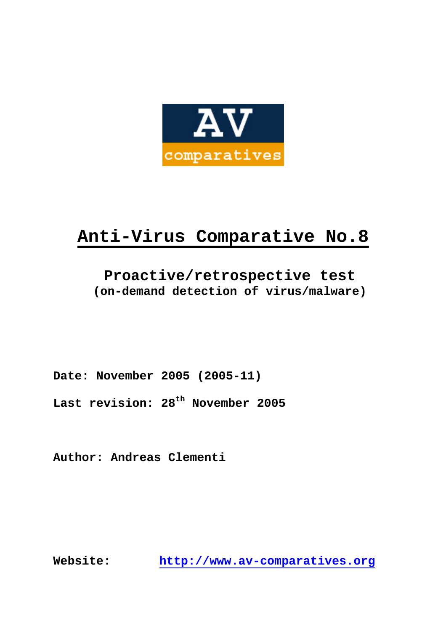

# **Anti-Virus Comparative No.8**

# **Proactive/retrospective test (on-demand detection of virus/malware)**

**Date: November 2005 (2005-11)** 

**Last revision: 28th November 2005** 

**Author: Andreas Clementi** 

**Website: http://www.av-comparatives.org**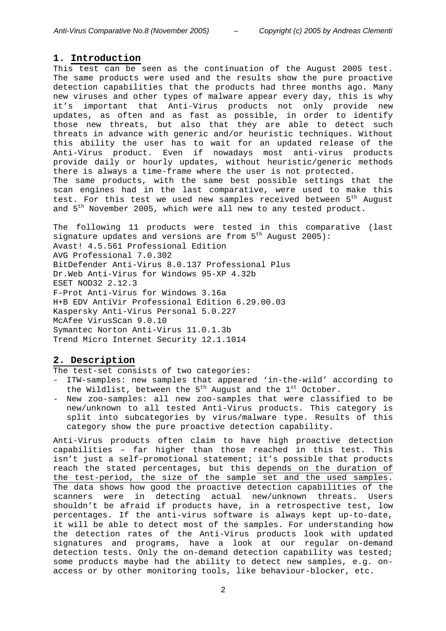#### **1. Introduction**

This test can be seen as the continuation of the August 2005 test. The same products were used and the results show the pure proactive detection capabilities that the products had three months ago. Many new viruses and other types of malware appear every day, this is why it's important that Anti-Virus products not only provide new updates, as often and as fast as possible, in order to identify those new threats, but also that they are able to detect such threats in advance with generic and/or heuristic techniques. Without this ability the user has to wait for an updated release of the Anti-Virus product. Even if nowadays most anti-virus products provide daily or hourly updates, without heuristic/generic methods there is always a time-frame where the user is not protected. The same products, with the same best possible settings that the scan engines had in the last comparative, were used to make this test. For this test we used new samples received between 5<sup>th</sup> August and  $5<sup>th</sup>$  November 2005, which were all new to any tested product.

The following 11 products were tested in this comparative (last signature updates and versions are from  $5<sup>th</sup>$  August 2005): Avast! 4.5.561 Professional Edition AVG Professional 7.0.302 BitDefender Anti-Virus 8.0.137 Professional Plus Dr.Web Anti-Virus for Windows 95-XP 4.32b ESET NOD32 2.12.3 F-Prot Anti-Virus for Windows 3.16a H+B EDV AntiVir Professional Edition 6.29.00.03 Kaspersky Anti-Virus Personal 5.0.227 McAfee VirusScan 9.0.10 Symantec Norton Anti-Virus 11.0.1.3b Trend Micro Internet Security 12.1.1014

### **2. Description**

The test-set consists of two categories:

- ITW-samples: new samples that appeared 'in-the-wild' according to the Wildlist, between the  $5<sup>th</sup>$  August and the  $1<sup>st</sup>$  October.
- New zoo-samples: all new zoo-samples that were classified to be new/unknown to all tested Anti-Virus products. This category is split into subcategories by virus/malware type. Results of this category show the pure proactive detection capability.

Anti-Virus products often claim to have high proactive detection capabilities – far higher than those reached in this test. This isn't just a self-promotional statement; it's possible that products reach the stated percentages, but this depends on the duration of the test-period, the size of the sample set and the used samples. The data shows how good the proactive detection capabilities of the scanners were in detecting actual new/unknown threats. Users shouldn't be afraid if products have, in a retrospective test, low percentages. If the anti-virus software is always kept up-to-date, it will be able to detect most of the samples. For understanding how the detection rates of the Anti-Virus products look with updated signatures and programs, have a look at our regular on-demand detection tests. Only the on-demand detection capability was tested; some products maybe had the ability to detect new samples, e.g. onaccess or by other monitoring tools, like behaviour-blocker, etc.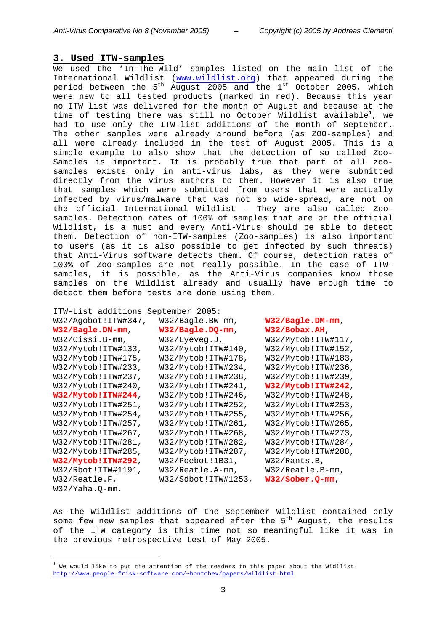#### **3. Used ITW-samples**

We used the 'In-The-Wild' samples listed on the main list of the International Wildlist (www.wildlist.org) that appeared during the period between the  $5<sup>th</sup>$  August 2005 and the  $1<sup>st</sup>$  October 2005, which were new to all tested products (marked in red). Because this year no ITW list was delivered for the month of August and because at the time of testing there was still no October Wildlist available $^1$ , we had to use only the ITW-list additions of the month of September. The other samples were already around before (as ZOO-samples) and all were already included in the test of August 2005. This is a simple example to also show that the detection of so called Zoo-Samples is important. It is probably true that part of all zoosamples exists only in anti-virus labs, as they were submitted directly from the virus authors to them. However it is also true that samples which were submitted from users that were actually infected by virus/malware that was not so wide-spread, are not on the official International Wildlist – They are also called Zoosamples. Detection rates of 100% of samples that are on the official Wildlist, is a must and every Anti-Virus should be able to detect them. Detection of non-ITW-samples (Zoo-samples) is also important to users (as it is also possible to get infected by such threats) that Anti-Virus software detects them. Of course, detection rates of 100% of Zoo-samples are not really possible. In the case of ITWsamples, it is possible, as the Anti-Virus companies know those samples on the Wildlist already and usually have enough time to detect them before tests are done using them.

| ITW-List additions  | September 2005:     |                    |
|---------------------|---------------------|--------------------|
| W32/Agobot!ITW#347, | $W32/Baqle.BW-mm,$  | $W32/Bagle.DM-mm,$ |
| W32/Bagle.DN-mm,    | W32/Bagle.DQ-mm,    | W32/Bobax.AH,      |
| W32/Cissi.B-mm,     | W32/Eyeveg.J,       | W32/Mytob!ITW#117, |
| W32/Mytob!ITW#133,  | W32/Mytob!ITW#140,  | W32/Mytob!ITW#152, |
| W32/Mytob!ITW#175,  | W32/Mytob!ITW#178,  | W32/Mytob!ITW#183, |
| W32/Mytob!ITW#233,  | W32/Mytob!ITW#234,  | W32/Mytob!ITW#236, |
| W32/Mytob!ITW#237,  | W32/Mytob!ITW#238,  | W32/Mytob!ITW#239, |
| W32/Mytob!ITW#240,  | W32/Mytob!ITW#241,  | W32/Mytob!ITW#242, |
| W32/Mytob!ITW#244,  | W32/Mytob!ITW#246,  | W32/Mytob!ITW#248, |
| W32/Mytob!ITW#251,  | W32/Mytob!ITW#252,  | W32/Mytob!ITW#253, |
| W32/Mytob!ITW#254,  | W32/Mytob!ITW#255,  | W32/Mytob!ITW#256, |
| W32/Mytob!ITW#257,  | W32/Mytob!ITW#261,  | W32/Mytob!ITW#265, |
| W32/Mytob!ITW#267,  | W32/Mytob!ITW#268,  | W32/Mytob!ITW#273, |
| W32/Mytob!ITW#281,  | W32/Mytob!ITW#282,  | W32/Mytob!ITW#284, |
| W32/Mytob!ITW#285,  | W32/Mytob!ITW#287,  | W32/Mytob!ITW#288, |
| W32/Mytob!ITW#292,  | W32/Poebot!1B31,    | W32/Rants.B,       |
| W32/Rbot!ITW#1191,  | $W32/Reatle.A-mm,$  | $W32/Reatle.B-mm,$ |
| W32/Reatle.F,       | W32/Sdbot!ITW#1253, | $W32/Sober. Q-mm,$ |
| $W32/Yaha.$ Q-mm.   |                     |                    |

As the Wildlist additions of the September Wildlist contained only some few new samples that appeared after the  $5<sup>th</sup>$  August, the results of the ITW category is this time not so meaningful like it was in the previous retrospective test of May 2005.

 $\overline{a}$ 

 $^{\rm 1}$  We would like to put the attention of the readers to this paper about the Widllist: http://www.people.frisk-software.com/~bontchev/papers/wildlist.html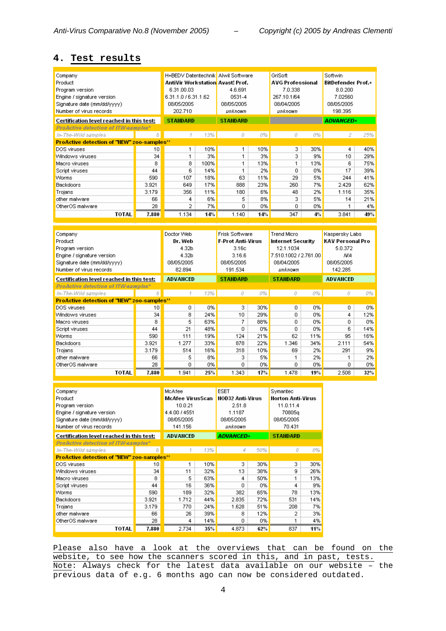#### **4. Test results**

|                                            |       |                                                                               |      |                          |     | GriSoft                 |     | Softwin                   |                |  |
|--------------------------------------------|-------|-------------------------------------------------------------------------------|------|--------------------------|-----|-------------------------|-----|---------------------------|----------------|--|
| Company                                    |       | H+BEDV Datentechnik Alwil Software<br><b>AntiVir Workstation Avast! Prof.</b> |      |                          |     |                         |     | <b>BitDefender Prof.+</b> |                |  |
| Product                                    |       |                                                                               |      |                          |     | <b>AVG Professional</b> |     |                           |                |  |
| Program version                            |       | 6.31.00.03                                                                    |      | 4.6.691                  |     | 7.0.338                 |     | 8.0.200                   |                |  |
| Engine / signature version                 |       | 6.31.1.0 / 6.31.1.62                                                          |      | 0531-4                   |     | 267.10.1/64             |     | 7.02560                   |                |  |
| Signature date (mm/dd/yyyy)                |       | 08/05/2005                                                                    |      | 08/05/2005               |     | 08/04/2005              |     | 08/05/2005                |                |  |
| Number of virus records                    |       | 202.710                                                                       |      | unknown                  |     | unknown                 |     | 198.395                   |                |  |
| Certification level reached in this test:  |       | <b>STANDARD</b>                                                               |      | <b>STANDARD</b>          |     |                         |     | <b>ADVANCED+</b>          |                |  |
| ProActive detection of ITW-samples*        |       |                                                                               |      |                          |     |                         |     |                           |                |  |
| In-The-Wild samples                        | 8     | đ.                                                                            | 13%  | 0                        | 0%  | 0                       | 0%  | 2                         | 25%            |  |
| ProActive detection of "NEW" zoo-samples** |       |                                                                               |      |                          |     |                         |     |                           |                |  |
| DOS viruses                                | 10    | 1                                                                             | 10%  | 1                        | 10% | з.                      | 30% | 4                         | 40%            |  |
| Windows viruses                            | 34    | 1                                                                             | 3%   | 1                        | 3%  | 3                       | 9%  | 10                        | 29%            |  |
| Macro viruses                              | 8     | 8                                                                             | 100% | 1                        | 13% | 1                       | 13% | 6                         | 75%            |  |
| Script viruses                             | 44    | 6                                                                             | 14%  | 1                        | 2%  | 0.                      | 0%  | 17                        | 39%            |  |
| Worms                                      | 590   | 107                                                                           | 18%  | 63                       | 11% | 29                      | 5%  | 244                       | 41%            |  |
| <b>Backdoors</b>                           | 3.921 | 649                                                                           | 17%  | 888                      | 23% | 260                     | 7%  | 2.429                     | 62%            |  |
| Trojans                                    | 3.179 | 356                                                                           | 11%  | 180                      | 6%  | 48                      | 2%  | 1.116                     | 35%            |  |
| other malware                              | 66    | 4                                                                             | 6%   | 5.                       | 8%  | 3                       | 5%  | 14                        | 21%            |  |
| OtherOS malware                            | 28    | 2                                                                             | 7%   | 0.                       | 0%  | 0                       | 0%  | 1                         | 4%             |  |
| <b>TOTAL</b>                               | 7.880 | 1.134                                                                         | 14%  | 1.140                    | 14% | 347                     | 4%  | 3.841                     | 49%            |  |
|                                            |       |                                                                               |      |                          |     |                         |     |                           |                |  |
|                                            |       |                                                                               |      |                          |     |                         |     |                           |                |  |
| Company                                    |       | Doctor Web                                                                    |      | <b>Frisk Software</b>    |     | <b>Trend Micro</b>      |     |                           | Kaspersky Labs |  |
| Product                                    |       | Dr. Web                                                                       |      | <b>F-Prot Anti-Virus</b> |     | Internet Security       |     | <b>KAV Personal Pro</b>   |                |  |

| <b>OUTHOUT</b> TY<br>Product<br>Program version<br>Engine / signature version<br>Signature date (mm/dd/yyyy)<br>Number of virus records |       | שטו וטוטט<br>Dr. Web<br>4.32b<br>4.32b<br>08/05/2005<br>82.894 |     | ט ווט זו גועט אפורד<br><b>F-Prot Anti-Virus</b><br>3.16c<br>3.16.6<br>08/05/2005<br>191.534 |     | Internet Security<br>12.1.1034<br>7.510.1002 / 2.761.00<br>08/04/2005<br>unknown |     | rweperen yn pape<br>KAV Personal Pro<br>5.0.372<br>ΝA<br>08/05/2005<br>142.285 |     |
|-----------------------------------------------------------------------------------------------------------------------------------------|-------|----------------------------------------------------------------|-----|---------------------------------------------------------------------------------------------|-----|----------------------------------------------------------------------------------|-----|--------------------------------------------------------------------------------|-----|
| Certification level reached in this test:                                                                                               |       | <b>ADVANCED</b>                                                |     | <b>STANDARD</b>                                                                             |     | <b>STANDARD</b>                                                                  |     | <b>ADVANCED</b>                                                                |     |
| ProActive detection of ITW-samples*                                                                                                     |       |                                                                |     |                                                                                             |     |                                                                                  |     |                                                                                |     |
| In-The-Wild samples                                                                                                                     | 8     | 4                                                              | 13% | 0                                                                                           | 0%  | o                                                                                | 0%  | 0                                                                              | 0%  |
| <b>ProActive detection of "NEW" zoo-samples**</b>                                                                                       |       |                                                                |     |                                                                                             |     |                                                                                  |     |                                                                                |     |
| DOS viruses                                                                                                                             | 10    | 0                                                              | 0%  | 3.                                                                                          | 30% | 0                                                                                | 0%  | 0                                                                              | 0%  |
| Windows viruses                                                                                                                         | 34    | 8                                                              | 24% | 10                                                                                          | 29% | 0                                                                                | 0%  | 4                                                                              | 12% |
| Macro viruses                                                                                                                           | 8     | 5                                                              | 63% |                                                                                             | 88% | 0.                                                                               | 0%  | 0                                                                              | 0%  |
| Script viruses                                                                                                                          | 44    | 21                                                             | 48% | n                                                                                           | 0%  | 0.                                                                               | 0%  | 6                                                                              | 14% |
| Worms                                                                                                                                   | 590   | 111                                                            | 19% | 124                                                                                         | 21% | 62                                                                               | 11% | 95                                                                             | 16% |
| Backdoors                                                                                                                               | 3.921 | 1.277                                                          | 33% | 878                                                                                         | 22% | 1.346                                                                            | 34% | 2.111                                                                          | 54% |
| Trojans                                                                                                                                 | 3.179 | 514                                                            | 16% | 318                                                                                         | 10% | 69                                                                               | 2%  | 291                                                                            | 9%  |
| other malware                                                                                                                           | 66    | 5                                                              | 8%  | 3.                                                                                          | 5%  | 1.                                                                               | 2%  |                                                                                | 2%  |
| OtherOS malware                                                                                                                         | 28    | 0.                                                             | 0%  | 0                                                                                           | 0%  | 0                                                                                | 0%  | 0                                                                              | 0%  |
| <b>TOTAL</b>                                                                                                                            | 7.880 | 1.941                                                          | 25% | 1.343                                                                                       | 17% | 1.478                                                                            | 19% | 2.508                                                                          | 32% |

| Company<br>Product<br>Program version<br>Engine / signature version<br>Signature date (mm/dd/yyyy)<br>Number of virus records |       | McAfee<br>McAfee VirusScan<br>10.0.21<br>4.4.00 / 4551<br>08/05/2005<br>141.156 |     | <b>ESET</b><br><b>NOD32 Anti-Virus</b><br>2.51.8<br>1.1187<br>08/05/2005<br>unknown |     | Symantec<br><b>Norton Anti-Virus</b><br>11.0.11.4<br>70805q<br>08/05/2005<br>70.431 |     |
|-------------------------------------------------------------------------------------------------------------------------------|-------|---------------------------------------------------------------------------------|-----|-------------------------------------------------------------------------------------|-----|-------------------------------------------------------------------------------------|-----|
| Certification level reached in this test:                                                                                     |       | <b>ADVANCED</b>                                                                 |     | <b>ADVANCED+</b>                                                                    |     | <b>STANDARD</b>                                                                     |     |
| ProActive detection of ITW-samples*                                                                                           |       |                                                                                 |     |                                                                                     |     |                                                                                     |     |
| In-The-Wild samples                                                                                                           | 8     | 1                                                                               | 13% | 4                                                                                   | 50% | 0                                                                                   | 0%  |
| <b>ProActive detection of 'NEW" zoo-samples**</b>                                                                             |       |                                                                                 |     |                                                                                     |     |                                                                                     |     |
| DOS viruses                                                                                                                   | 10    | 1                                                                               | 10% | 3.                                                                                  | 30% | 3.                                                                                  | 30% |
| Windows viruses                                                                                                               | 34    | 11                                                                              | 32% | 13.                                                                                 | 38% | 9                                                                                   | 26% |
| Macro viruses                                                                                                                 | 8     | 5                                                                               | 63% | 4                                                                                   | 50% | 1                                                                                   | 13% |
| Script viruses                                                                                                                | 44    | 16                                                                              | 36% | n                                                                                   | 0%  | 4                                                                                   | 9%  |
| Worms                                                                                                                         | 590   | 189                                                                             | 32% | 382                                                                                 | 65% | 78                                                                                  | 13% |
| <b>Backdoors</b>                                                                                                              | 3.921 | 1.712                                                                           | 44% | 2.835                                                                               | 72% | 531                                                                                 | 14% |
| Trojans                                                                                                                       | 3.179 | 770                                                                             | 24% | 1.628                                                                               | 51% | 208                                                                                 | 7%  |
| other malware                                                                                                                 | 66    | 26                                                                              | 39% | 8                                                                                   | 12% | 2                                                                                   | 3%  |
| OtherOS malware                                                                                                               | 28    | 4                                                                               | 14% | n                                                                                   | 0%  | 1                                                                                   | 4%  |
| TOTAL                                                                                                                         | 7.880 | 2.734                                                                           | 35% | 4.873                                                                               | 62% | 837                                                                                 | 11% |

Please also have a look at the overviews that can be found on the website, to see how the scanners scored in this, and in past, tests. Note: Always check for the latest data available on our website – the previous data of e.g. 6 months ago can now be considered outdated.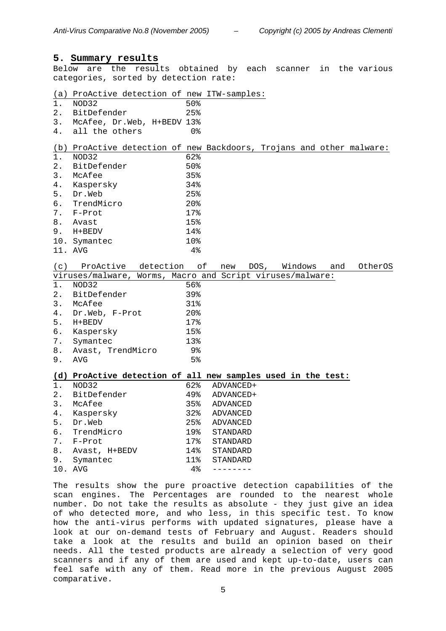#### **5. Summary results**

Below are the results obtained by each scanner in the various categories, sorted by detection rate:

(a) ProActive detection of new ITW-samples:

- 1. NOD32 50%
- 2. BitDefender 25%
- 3. McAfee, Dr.Web, H+BEDV 13%
- 4. all the others 0%

## (b) ProActive detection of new Backdoors, Trojans and other malware:

| $1$ . | NOD32          | 62%             |
|-------|----------------|-----------------|
|       | 2. BitDefender | $50\%$          |
| 3.    | McAfee         | 35%             |
| 4.    | Kaspersky      | 34%             |
| 5.    | Dr.Web         | 25%             |
|       | 6. TrendMicro  | 20 <sub>8</sub> |
|       | 7. F-Prot      | 17%             |
|       | 8. Avast       | 15%             |
|       | 9. H+BEDV      | 14%             |
|       | 10. Symantec   | 10 <sub>8</sub> |
|       | 11. AVG        | $4\,$           |

| (c)            | ProActive detection                                          |                 | of<br>new | DOS, | Windows | and | OtherOS |
|----------------|--------------------------------------------------------------|-----------------|-----------|------|---------|-----|---------|
|                | viruses/malware, Worms, Macro and Script viruses/malware:    |                 |           |      |         |     |         |
| 1 <sub>1</sub> | NOD32                                                        | 56%             |           |      |         |     |         |
| 2 <sub>1</sub> | BitDefender                                                  | 39%             |           |      |         |     |         |
| 3 <sub>1</sub> | McAfee                                                       | 31%             |           |      |         |     |         |
| 4.             | Dr.Web, F-Prot                                               | 20 <sub>8</sub> |           |      |         |     |         |
| 5.             | H+BEDV                                                       | 17%             |           |      |         |     |         |
| б.             | Kaspersky                                                    | 15%             |           |      |         |     |         |
| 7.             | Symantec                                                     | 13%             |           |      |         |     |         |
| 8.             | Avast, TrendMicro                                            | 9%              |           |      |         |     |         |
| 9.             | AVG                                                          | 5 <sup>8</sup>  |           |      |         |     |         |
|                |                                                              |                 |           |      |         |     |         |
|                |                                                              |                 |           |      |         |     |         |
|                | (d) ProActive detection of all new samples used in the test: |                 |           |      |         |     |         |
| 1 <sub>1</sub> | NOD32                                                        | 62%             | ADVANCED+ |      |         |     |         |
| 2.             | BitDefender                                                  | 49%             | ADVANCED+ |      |         |     |         |
| 3.             | McAfee                                                       | $35\%$          | ADVANCED  |      |         |     |         |
| 4.             | Kaspersky                                                    | 32%             | ADVANCED  |      |         |     |         |
| 5.             | Dr.Web                                                       | 25%             | ADVANCED  |      |         |     |         |
| б.             | TrendMicro                                                   | 19%             | STANDARD  |      |         |     |         |
| 7.             | F-Prot                                                       | 17%             | STANDARD  |      |         |     |         |
| 8.             | Avast, H+BEDV                                                | 14%             | STANDARD  |      |         |     |         |
| 9.             | Symantec                                                     | 11%             | STANDARD  |      |         |     |         |

The results show the pure proactive detection capabilities of the scan engines. The Percentages are rounded to the nearest whole number. Do not take the results as absolute - they just give an idea of who detected more, and who less, in this specific test. To know how the anti-virus performs with updated signatures, please have a look at our on-demand tests of February and August. Readers should take a look at the results and build an opinion based on their needs. All the tested products are already a selection of very good scanners and if any of them are used and kept up-to-date, users can feel safe with any of them. Read more in the previous August 2005 comparative.